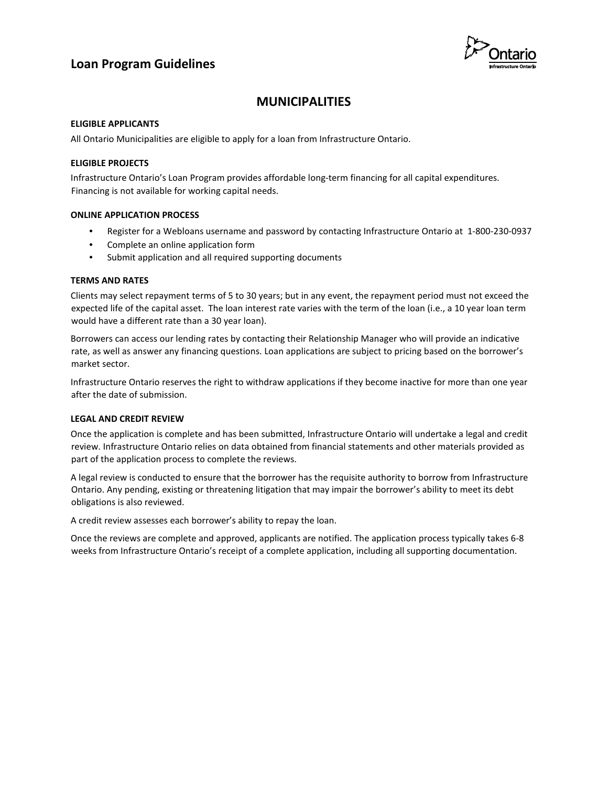# **Loan Program Guidelines**



# **MUNICIPALITIES**

#### **ELIGIBLE APPLICANTS**

All Ontario Municipalities are eligible to apply for a loan from Infrastructure Ontario.

### **ELIGIBLE PROJECTS**

Infrastructure Ontario's Loan Program provides affordable long-term financing for all capital expenditures. Financing is not available for working capital needs.

#### **ONLINE APPLICATION PROCESS**

- Register for a Webloans username and password by contacting Infrastructure Ontario at 1-800-230-0937
- Complete an online application form
- Submit application and all required supporting documents

### **TERMS AND RATES**

Clients may select repayment terms of 5 to 30 years; but in any event, the repayment period must not exceed the expected life of the capital asset. The loan interest rate varies with the term of the loan (i.e., a 10 year loan term would have a different rate than a 30 year loan).

Borrowers can access our lending rates by contacting their Relationship Manager who will provide an indicative rate, as well as answer any financing questions. Loan applications are subject to pricing based on the borrower's market sector.

Infrastructure Ontario reserves the right to withdraw applications if they become inactive for more than one year after the date of submission.

### **LEGAL AND CREDIT REVIEW**

Once the application is complete and has been submitted, Infrastructure Ontario will undertake a legal and credit review. Infrastructure Ontario relies on data obtained from financial statements and other materials provided as part of the application process to complete the reviews.

A legal review is conducted to ensure that the borrower has the requisite authority to borrow from Infrastructure Ontario. Any pending, existing or threatening litigation that may impair the borrower's ability to meet its debt obligations is also reviewed.

A credit review assesses each borrower's ability to repay the loan.

Once the reviews are complete and approved, applicants are notified. The application process typically takes 6-8 weeks from Infrastructure Ontario's receipt of a complete application, including all supporting documentation.